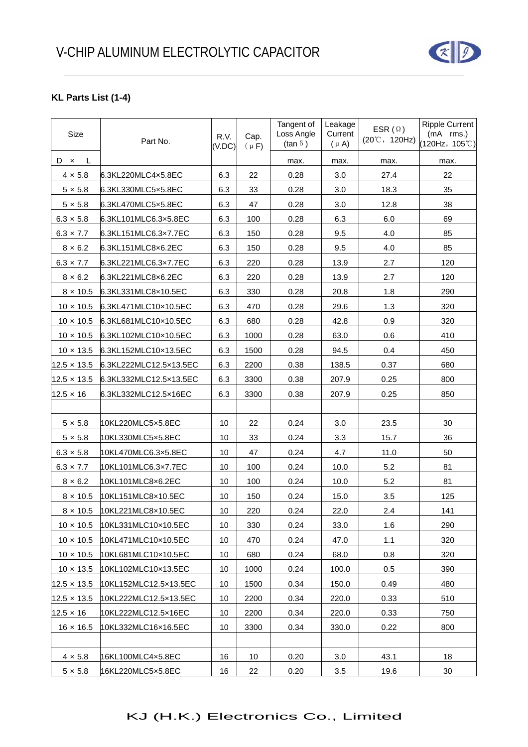

## **KL Parts List (1-4)**

| Size               | Part No.               | R.V.<br>(V.DC) | Cap.<br>$(\mu F)$ | Tangent of<br>Loss Angle<br>(tan $\delta$ ) | Leakage<br>Current<br>$(\mu A)$ | ESR $(\Omega)$<br>$(20^{\circ}\text{C}, 120\text{Hz})$ | Ripple Current<br>$(mA$ rms.)<br>(120 Hz, 105°C) |
|--------------------|------------------------|----------------|-------------------|---------------------------------------------|---------------------------------|--------------------------------------------------------|--------------------------------------------------|
| L<br>D x           |                        |                |                   | max.                                        | max.                            | max.                                                   | max.                                             |
| $4 \times 5.8$     | 6.3KL220MLC4x5.8EC     | 6.3            | 22                | 0.28                                        | 3.0                             | 27.4                                                   | 22                                               |
| $5 \times 5.8$     | 6.3KL330MLC5x5.8EC     | 6.3            | 33                | 0.28                                        | 3.0                             | 18.3                                                   | 35                                               |
| $5 \times 5.8$     | 6.3KL470MLC5×5.8EC     | 6.3            | 47                | 0.28                                        | 3.0                             | 12.8                                                   | 38                                               |
| $6.3 \times 5.8$   | 6.3KL101MLC6.3x5.8EC   | 6.3            | 100               | 0.28                                        | 6.3                             | 6.0                                                    | 69                                               |
| $6.3 \times 7.7$   | 6.3KL151MLC6.3x7.7EC   | 6.3            | 150               | 0.28                                        | 9.5                             | 4.0                                                    | 85                                               |
| $8 \times 6.2$     | 6.3KL151MLC8x6.2EC     | 6.3            | 150               | 0.28                                        | 9.5                             | 4.0                                                    | 85                                               |
| $6.3 \times 7.7$   | 6.3KL221MLC6.3×7.7EC   | 6.3            | 220               | 0.28                                        | 13.9                            | 2.7                                                    | 120                                              |
| $8 \times 6.2$     | 6.3KL221MLC8x6.2EC     | 6.3            | 220               | 0.28                                        | 13.9                            | 2.7                                                    | 120                                              |
| $8 \times 10.5$    | 6.3KL331MLC8×10.5EC    | 6.3            | 330               | 0.28                                        | 20.8                            | 1.8                                                    | 290                                              |
| $10 \times 10.5$   | 6.3KL471MLC10×10.5EC   | 6.3            | 470               | 0.28                                        | 29.6                            | 1.3                                                    | 320                                              |
| $10 \times 10.5$   | 6.3KL681MLC10x10.5EC   | 6.3            | 680               | 0.28                                        | 42.8                            | 0.9                                                    | 320                                              |
| $10 \times 10.5$   | 6.3KL102MLC10x10.5EC   | 6.3            | 1000              | 0.28                                        | 63.0                            | 0.6                                                    | 410                                              |
| $10 \times 13.5$   | 6.3KL152MLC10×13.5EC   | 6.3            | 1500              | 0.28                                        | 94.5                            | 0.4                                                    | 450                                              |
| $12.5 \times 13.5$ | 6.3KL222MLC12.5x13.5EC | 6.3            | 2200              | 0.38                                        | 138.5                           | 0.37                                                   | 680                                              |
| $12.5 \times 13.5$ | 6.3KL332MLC12.5x13.5EC | 6.3            | 3300              | 0.38                                        | 207.9                           | 0.25                                                   | 800                                              |
| $12.5 \times 16$   | 6.3KL332MLC12.5x16EC   | 6.3            | 3300              | 0.38                                        | 207.9                           | 0.25                                                   | 850                                              |
|                    |                        |                |                   |                                             |                                 |                                                        |                                                  |
| $5 \times 5.8$     | 10KL220MLC5x5.8EC      | 10             | 22                | 0.24                                        | 3.0                             | 23.5                                                   | 30                                               |
| $5 \times 5.8$     | 10KL330MLC5x5.8EC      | 10             | 33                | 0.24                                        | 3.3                             | 15.7                                                   | 36                                               |
| $6.3 \times 5.8$   | 10KL470MLC6.3x5.8EC    | 10             | 47                | 0.24                                        | 4.7                             | 11.0                                                   | 50                                               |
| $6.3 \times 7.7$   | 10KL101MLC6.3x7.7EC    | 10             | 100               | 0.24                                        | 10.0                            | 5.2                                                    | 81                                               |
| $8 \times 6.2$     | 10KL101MLC8x6.2EC      | 10             | 100               | 0.24                                        | 10.0                            | 5.2                                                    | 81                                               |
| $8 \times 10.5$    | 10KL151MLC8x10.5EC     | 10             | 150               | 0.24                                        | 15.0                            | 3.5                                                    | 125                                              |
| $8 \times 10.5$    | 10KL221MLC8x10.5EC     | 10             | 220               | 0.24                                        | 22.0                            | 2.4                                                    | 141                                              |
| $10 \times 10.5$   | 10KL331MLC10×10.5EC    | 10             | 330               | 0.24                                        | 33.0                            | 1.6                                                    | 290                                              |
| $10 \times 10.5$   | 10KL471MLC10×10.5EC    | 10             | 470               | 0.24                                        | 47.0                            | 1.1                                                    | 320                                              |
| $10 \times 10.5$   | 10KL681MLC10x10.5EC    | 10             | 680               | 0.24                                        | 68.0                            | 0.8                                                    | 320                                              |
| $10 \times 13.5$   | 10KL102MLC10x13.5EC    | 10             | 1000              | 0.24                                        | 100.0                           | 0.5                                                    | 390                                              |
| $12.5 \times 13.5$ | 10KL152MLC12.5x13.5EC  | 10             | 1500              | 0.34                                        | 150.0                           | 0.49                                                   | 480                                              |
| $12.5 \times 13.5$ | 10KL222MLC12.5x13.5EC  | 10             | 2200              | 0.34                                        | 220.0                           | 0.33                                                   | 510                                              |
| $12.5 \times 16$   | 10KL222MLC12.5x16EC    | 10             | 2200              | 0.34                                        | 220.0                           | 0.33                                                   | 750                                              |
| $16 \times 16.5$   | 10KL332MLC16×16.5EC    | 10             | 3300              | 0.34                                        | 330.0                           | 0.22                                                   | 800                                              |
|                    |                        |                |                   |                                             |                                 |                                                        |                                                  |
| $4 \times 5.8$     | 16KL100MLC4x5.8EC      | 16             | 10                | 0.20                                        | 3.0                             | 43.1                                                   | 18                                               |
| $5 \times 5.8$     | 16KL220MLC5x5.8EC      | 16             | 22                | 0.20                                        | 3.5                             | 19.6                                                   | 30                                               |

# KJ (H.K.) Electronics Co., Limited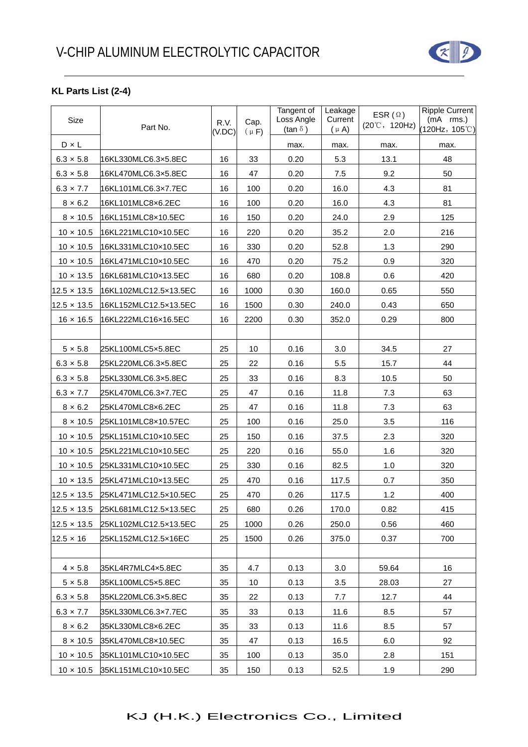

### **KL Parts List (2-4)**

| Size               | Part No.              | R.V.<br>(V.DC) | Cap.<br>$(\mu F)$ | Tangent of<br>Loss Angle<br>(tan $\delta$ ) | Leakage<br>Current<br>$(\mu A)$ | ESR $(\Omega)$<br>$(20^{\circ}\text{C}, 120\text{Hz})$ | <b>Ripple Current</b><br>$(mA$ rms.)<br>(120Hz, 105℃) |
|--------------------|-----------------------|----------------|-------------------|---------------------------------------------|---------------------------------|--------------------------------------------------------|-------------------------------------------------------|
| $D \times L$       |                       |                |                   | max.                                        | max.                            | max.                                                   | max.                                                  |
| $6.3 \times 5.8$   | 16KL330MLC6.3x5.8EC   | 16             | 33                | 0.20                                        | 5.3                             | 13.1                                                   | 48                                                    |
| $6.3 \times 5.8$   | 16KL470MLC6.3x5.8EC   | 16             | 47                | 0.20                                        | 7.5                             | 9.2                                                    | 50                                                    |
| $6.3 \times 7.7$   | 16KL101MLC6.3×7.7EC   | 16             | 100               | 0.20                                        | 16.0                            | 4.3                                                    | 81                                                    |
| $8 \times 6.2$     | 16KL101MLC8x6.2EC     | 16             | 100               | 0.20                                        | 16.0                            | 4.3                                                    | 81                                                    |
| $8 \times 10.5$    | 16KL151MLC8×10.5EC    | 16             | 150               | 0.20                                        | 24.0                            | 2.9                                                    | 125                                                   |
| $10 \times 10.5$   | 16KL221MLC10x10.5EC   | 16             | 220               | 0.20                                        | 35.2                            | 2.0                                                    | 216                                                   |
| $10 \times 10.5$   | 16KL331MLC10x10.5EC   | 16             | 330               | 0.20                                        | 52.8                            | 1.3                                                    | 290                                                   |
| $10 \times 10.5$   | 16KL471MLC10×10.5EC   | 16             | 470               | 0.20                                        | 75.2                            | 0.9                                                    | 320                                                   |
| $10 \times 13.5$   | 16KL681MLC10x13.5EC   | 16             | 680               | 0.20                                        | 108.8                           | 0.6                                                    | 420                                                   |
| $12.5 \times 13.5$ | 16KL102MLC12.5x13.5EC | 16             | 1000              | 0.30                                        | 160.0                           | 0.65                                                   | 550                                                   |
| $12.5 \times 13.5$ | 16KL152MLC12.5x13.5EC | 16             | 1500              | 0.30                                        | 240.0                           | 0.43                                                   | 650                                                   |
| $16 \times 16.5$   | 16KL222MLC16x16.5EC   | 16             | 2200              | 0.30                                        | 352.0                           | 0.29                                                   | 800                                                   |
|                    |                       |                |                   |                                             |                                 |                                                        |                                                       |
| $5 \times 5.8$     | 25KL100MLC5x5.8EC     | 25             | 10                | 0.16                                        | 3.0                             | 34.5                                                   | 27                                                    |
| $6.3 \times 5.8$   | 25KL220MLC6.3x5.8EC   | 25             | 22                | 0.16                                        | 5.5                             | 15.7                                                   | 44                                                    |
| $6.3 \times 5.8$   | 25KL330MLC6.3x5.8EC   | 25             | 33                | 0.16                                        | 8.3                             | 10.5                                                   | 50                                                    |
| $6.3 \times 7.7$   | 25KL470MLC6.3x7.7EC   | 25             | 47                | 0.16                                        | 11.8                            | 7.3                                                    | 63                                                    |
| $8 \times 6.2$     | 25KL470MLC8x6.2EC     | 25             | 47                | 0.16                                        | 11.8                            | 7.3                                                    | 63                                                    |
| $8 \times 10.5$    | 25KL101MLC8x10.57EC   | 25             | 100               | 0.16                                        | 25.0                            | 3.5                                                    | 116                                                   |
| $10 \times 10.5$   | 25KL151MLC10x10.5EC   | 25             | 150               | 0.16                                        | 37.5                            | 2.3                                                    | 320                                                   |
| $10 \times 10.5$   | 25KL221MLC10×10.5EC   | 25             | 220               | 0.16                                        | 55.0                            | 1.6                                                    | 320                                                   |
| $10 \times 10.5$   | 25KL331MLC10x10.5EC   | 25             | 330               | 0.16                                        | 82.5                            | 1.0                                                    | 320                                                   |
| $10 \times 13.5$   | 25KL471MLC10x13.5EC   | 25             | 470               | 0.16                                        | 117.5                           | 0.7                                                    | 350                                                   |
| $12.5 \times 13.5$ | 25KL471MLC12.5x10.5EC | 25             | 470               | 0.26                                        | 117.5                           | 1.2                                                    | 400                                                   |
| $12.5 \times 13.5$ | 25KL681MLC12.5x13.5EC | 25             | 680               | 0.26                                        | 170.0                           | 0.82                                                   | 415                                                   |
| $12.5 \times 13.5$ | 25KL102MLC12.5x13.5EC | 25             | 1000              | 0.26                                        | 250.0                           | 0.56                                                   | 460                                                   |
| $12.5 \times 16$   | 25KL152MLC12.5x16EC   | 25             | 1500              | 0.26                                        | 375.0                           | 0.37                                                   | 700                                                   |
|                    |                       |                |                   |                                             |                                 |                                                        |                                                       |
| $4 \times 5.8$     | 35KL4R7MLC4x5.8EC     | 35             | 4.7               | 0.13                                        | 3.0                             | 59.64                                                  | 16                                                    |
| $5 \times 5.8$     | 35KL100MLC5x5.8EC     | 35             | 10                | 0.13                                        | 3.5                             | 28.03                                                  | 27                                                    |
| $6.3 \times 5.8$   | 35KL220MLC6.3x5.8EC   | 35             | 22                | 0.13                                        | 7.7                             | 12.7                                                   | 44                                                    |
| $6.3 \times 7.7$   | 35KL330MLC6.3x7.7EC   | 35             | 33                | 0.13                                        | 11.6                            | 8.5                                                    | 57                                                    |
| $8 \times 6.2$     | 35KL330MLC8x6.2EC     | 35             | 33                | 0.13                                        | 11.6                            | 8.5                                                    | 57                                                    |
| $8 \times 10.5$    | 35KL470MLC8×10.5EC    | 35             | 47                | 0.13                                        | 16.5                            | 6.0                                                    | 92                                                    |
| $10 \times 10.5$   | 35KL101MLC10x10.5EC   | 35             | 100               | 0.13                                        | 35.0                            | 2.8                                                    | 151                                                   |
| $10 \times 10.5$   | 35KL151MLC10×10.5EC   | 35             | 150               | 0.13                                        | 52.5                            | 1.9                                                    | 290                                                   |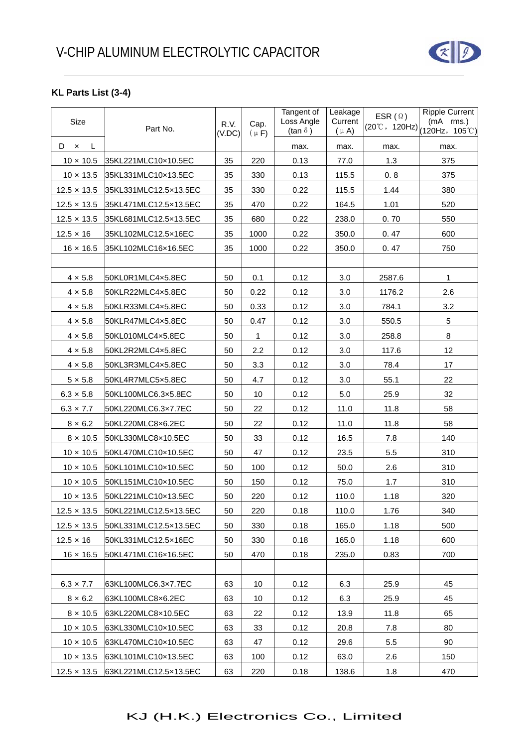

### **KL Parts List (3-4)**

| Size                     | Part No.              | R.V.<br>(V.DC) | Cap.<br>$(\mu F)$ | Tangent of<br>Loss Angle<br>(tan $\delta$ ) | Leakage<br>Current<br>$(\mu A)$ | ESR $(\Omega)$ | Ripple Current<br>$(mA$ rms.)<br>$(20^{\circ}\text{C}, 120\text{Hz})\big _{(120\text{Hz}, 105^{\circ}\text{C})}\big $ |
|--------------------------|-----------------------|----------------|-------------------|---------------------------------------------|---------------------------------|----------------|-----------------------------------------------------------------------------------------------------------------------|
| - L<br>D<br>$\mathsf{x}$ |                       |                |                   | max.                                        | max.                            | max.           | max.                                                                                                                  |
| $10 \times 10.5$         | 35KL221MLC10x10.5EC   | 35             | 220               | 0.13                                        | 77.0                            | 1.3            | 375                                                                                                                   |
| $10 \times 13.5$         | 35KL331MLC10x13.5EC   | 35             | 330               | 0.13                                        | 115.5                           | 0.8            | 375                                                                                                                   |
| $12.5 \times 13.5$       | 35KL331MLC12.5x13.5EC | 35             | 330               | 0.22                                        | 115.5                           | 1.44           | 380                                                                                                                   |
| $12.5 \times 13.5$       | 35KL471MLC12.5x13.5EC | 35             | 470               | 0.22                                        | 164.5                           | 1.01           | 520                                                                                                                   |
| $12.5 \times 13.5$       | 35KL681MLC12.5x13.5EC | 35             | 680               | 0.22                                        | 238.0                           | 0.70           | 550                                                                                                                   |
| $12.5 \times 16$         | 35KL102MLC12.5x16EC   | 35             | 1000              | 0.22                                        | 350.0                           | 0.47           | 600                                                                                                                   |
| $16 \times 16.5$         | 35KL102MLC16x16.5EC   | 35             | 1000              | 0.22                                        | 350.0                           | 0.47           | 750                                                                                                                   |
|                          |                       |                |                   |                                             |                                 |                |                                                                                                                       |
| $4 \times 5.8$           | 50KL0R1MLC4x5.8EC     | 50             | 0.1               | 0.12                                        | 3.0                             | 2587.6         | $\mathbf{1}$                                                                                                          |
| $4 \times 5.8$           | 50KLR22MLC4×5.8EC     | 50             | 0.22              | 0.12                                        | 3.0                             | 1176.2         | 2.6                                                                                                                   |
| $4 \times 5.8$           | 50KLR33MLC4x5.8EC     | 50             | 0.33              | 0.12                                        | 3.0                             | 784.1          | 3.2                                                                                                                   |
| $4 \times 5.8$           | 50KLR47MLC4x5.8EC     | 50             | 0.47              | 0.12                                        | 3.0                             | 550.5          | $\sqrt{5}$                                                                                                            |
| $4 \times 5.8$           | 50KL010MLC4×5.8EC     | 50             | 1                 | 0.12                                        | 3.0                             | 258.8          | $\bf 8$                                                                                                               |
| $4 \times 5.8$           | 50KL2R2MLC4x5.8EC     | 50             | 2.2               | 0.12                                        | 3.0                             | 117.6          | 12                                                                                                                    |
| $4 \times 5.8$           | 50KL3R3MLC4x5.8EC     | 50             | 3.3               | 0.12                                        | 3.0                             | 78.4           | 17                                                                                                                    |
| $5 \times 5.8$           | 50KL4R7MLC5x5.8EC     | 50             | 4.7               | 0.12                                        | 3.0                             | 55.1           | 22                                                                                                                    |
| $6.3 \times 5.8$         | 50KL100MLC6.3x5.8EC   | 50             | 10                | 0.12                                        | $5.0\,$                         | 25.9           | 32                                                                                                                    |
| $6.3 \times 7.7$         | 50KL220MLC6.3x7.7EC   | 50             | 22                | 0.12                                        | 11.0                            | 11.8           | 58                                                                                                                    |
| $8 \times 6.2$           | 50KL220MLC8x6.2EC     | 50             | 22                | 0.12                                        | 11.0                            | 11.8           | 58                                                                                                                    |
| $8 \times 10.5$          | 50KL330MLC8×10.5EC    | 50             | 33                | 0.12                                        | 16.5                            | 7.8            | 140                                                                                                                   |
| $10 \times 10.5$         | 50KL470MLC10×10.5EC   | 50             | 47                | 0.12                                        | 23.5                            | 5.5            | 310                                                                                                                   |
| $10 \times 10.5$         | 50KL101MLC10x10.5EC   | 50             | 100               | 0.12                                        | 50.0                            | 2.6            | 310                                                                                                                   |
| $10 \times 10.5$         | 50KL151MLC10x10.5EC   | 50             | 150               | 0.12                                        | 75.0                            | 1.7            | 310                                                                                                                   |
| $10 \times 13.5$         | 50KL221MLC10×13.5EC   | 50             | 220               | 0.12                                        | 110.0                           | 1.18           | 320                                                                                                                   |
| $12.5 \times 13.5$       | 50KL221MLC12.5x13.5EC | 50             | 220               | 0.18                                        | 110.0                           | 1.76           | 340                                                                                                                   |
| $12.5 \times 13.5$       | 50KL331MLC12.5x13.5EC | 50             | 330               | 0.18                                        | 165.0                           | 1.18           | 500                                                                                                                   |
| $12.5 \times 16$         | 50KL331MLC12.5x16EC   | 50             | 330               | 0.18                                        | 165.0                           | 1.18           | 600                                                                                                                   |
| $16 \times 16.5$         | 50KL471MLC16×16.5EC   | 50             | 470               | 0.18                                        | 235.0                           | 0.83           | 700                                                                                                                   |
|                          |                       |                |                   |                                             |                                 |                |                                                                                                                       |
| $6.3 \times 7.7$         | 63KL100MLC6.3x7.7EC   | 63             | 10                | 0.12                                        | 6.3                             | 25.9           | 45                                                                                                                    |
| $8 \times 6.2$           | 63KL100MLC8x6.2EC     | 63             | 10                | 0.12                                        | 6.3                             | 25.9           | 45                                                                                                                    |
| $8 \times 10.5$          | 63KL220MLC8×10.5EC    | 63             | 22                | 0.12                                        | 13.9                            | 11.8           | 65                                                                                                                    |
| $10 \times 10.5$         | 63KL330MLC10x10.5EC   | 63             | 33                | 0.12                                        | 20.8                            | 7.8            | 80                                                                                                                    |
| $10 \times 10.5$         | 63KL470MLC10×10.5EC   | 63             | 47                | 0.12                                        | 29.6                            | $5.5\,$        | 90                                                                                                                    |
| $10 \times 13.5$         | 63KL101MLC10×13.5EC   | 63             | 100               | 0.12                                        | 63.0                            | 2.6            | 150                                                                                                                   |
| $12.5 \times 13.5$       | 63KL221MLC12.5x13.5EC | 63             | 220               | 0.18                                        | 138.6                           | 1.8            | 470                                                                                                                   |

# KJ (H.K.) Electronics Co., Limited